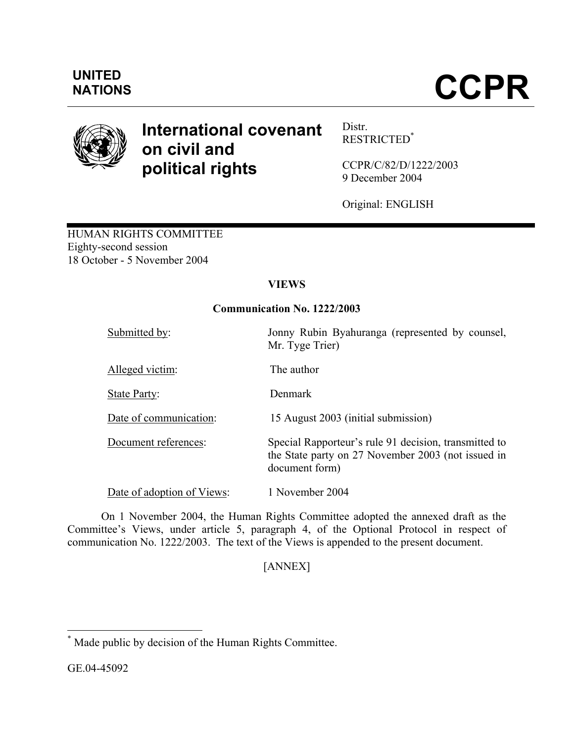

# **International covenant on civil and political rights**

Distr. RESTRICTED\*

CCPR/C/82/D/1222/2003 9 December 2004

Original: ENGLISH

HUMAN RIGHTS COMMITTEE Eighty-second session 18 October - 5 November 2004

# **VIEWS**

# **Communication No. 1222/2003**

| Submitted by:              | Jonny Rubin Byahuranga (represented by counsel,<br>Mr. Tyge Trier)                                                            |
|----------------------------|-------------------------------------------------------------------------------------------------------------------------------|
| Alleged victim:            | The author                                                                                                                    |
| State Party:               | Denmark                                                                                                                       |
| Date of communication:     | 15 August 2003 (initial submission)                                                                                           |
| Document references:       | Special Rapporteur's rule 91 decision, transmitted to<br>the State party on 27 November 2003 (not issued in<br>document form) |
| Date of adoption of Views: | 1 November 2004                                                                                                               |

 On 1 November 2004, the Human Rights Committee adopted the annexed draft as the Committee's Views, under article 5, paragraph 4, of the Optional Protocol in respect of communication No. 1222/2003. The text of the Views is appended to the present document.

[ANNEX]

1

<sup>\*</sup> Made public by decision of the Human Rights Committee.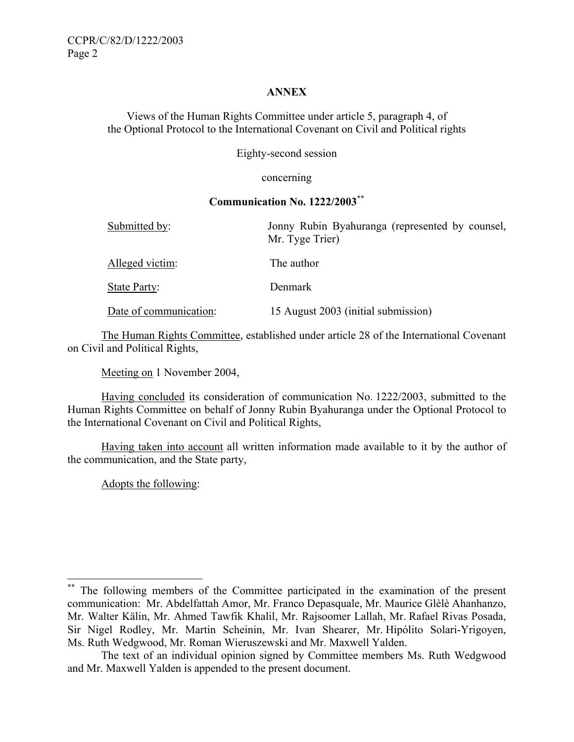#### **ANNEX**

Views of the Human Rights Committee under article 5, paragraph 4, of the Optional Protocol to the International Covenant on Civil and Political rights

Eighty-second session

concerning

#### **Communication No. 1222/2003\*\***

| Submitted by:          | Jonny Rubin Byahuranga (represented by counsel,<br>Mr. Tyge Trier) |
|------------------------|--------------------------------------------------------------------|
| Alleged victim:        | The author                                                         |
| State Party:           | Denmark                                                            |
| Date of communication: | 15 August 2003 (initial submission)                                |

 The Human Rights Committee, established under article 28 of the International Covenant on Civil and Political Rights,

Meeting on 1 November 2004,

 Having concluded its consideration of communication No. 1222/2003, submitted to the Human Rights Committee on behalf of Jonny Rubin Byahuranga under the Optional Protocol to the International Covenant on Civil and Political Rights,

 Having taken into account all written information made available to it by the author of the communication, and the State party,

Adopts the following:

 $\overline{a}$ 

<sup>\*\*</sup> The following members of the Committee participated in the examination of the present communication: Mr. Abdelfattah Amor, Mr. Franco Depasquale, Mr. Maurice Glèlè Ahanhanzo, Mr. Walter Kälin, Mr. Ahmed Tawfik Khalil, Mr. Rajsoomer Lallah, Mr. Rafael Rivas Posada, Sir Nigel Rodley, Mr. Martin Scheinin, Mr. Ivan Shearer, Mr. Hipólito Solari-Yrigoyen, Ms. Ruth Wedgwood, Mr. Roman Wieruszewski and Mr. Maxwell Yalden.

The text of an individual opinion signed by Committee members Ms. Ruth Wedgwood and Mr. Maxwell Yalden is appended to the present document.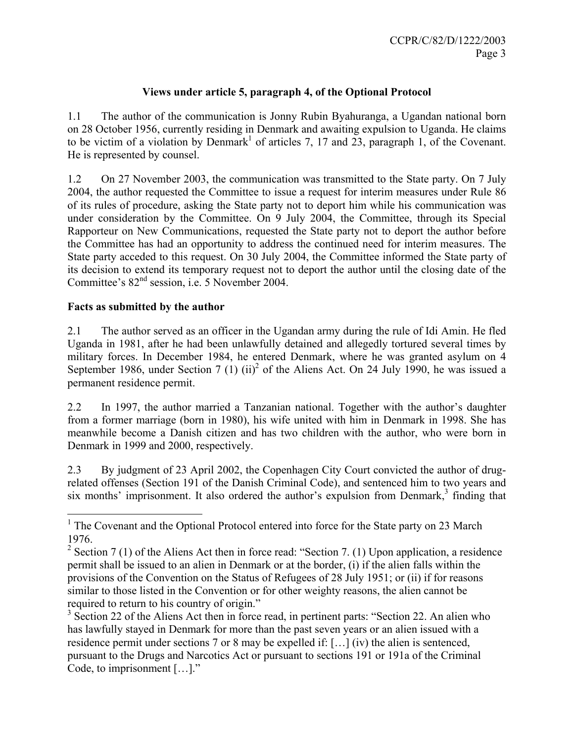# **Views under article 5, paragraph 4, of the Optional Protocol**

1.1 The author of the communication is Jonny Rubin Byahuranga, a Ugandan national born on 28 October 1956, currently residing in Denmark and awaiting expulsion to Uganda. He claims to be victim of a violation by Denmark<sup>1</sup> of articles 7, 17 and 23, paragraph 1, of the Covenant. He is represented by counsel.

1.2 On 27 November 2003, the communication was transmitted to the State party. On 7 July 2004, the author requested the Committee to issue a request for interim measures under Rule 86 of its rules of procedure, asking the State party not to deport him while his communication was under consideration by the Committee. On 9 July 2004, the Committee, through its Special Rapporteur on New Communications, requested the State party not to deport the author before the Committee has had an opportunity to address the continued need for interim measures. The State party acceded to this request. On 30 July 2004, the Committee informed the State party of its decision to extend its temporary request not to deport the author until the closing date of the Committee's 82nd session, i.e. 5 November 2004.

# **Facts as submitted by the author**

1

2.1 The author served as an officer in the Ugandan army during the rule of Idi Amin. He fled Uganda in 1981, after he had been unlawfully detained and allegedly tortured several times by military forces. In December 1984, he entered Denmark, where he was granted asylum on 4 September 1986, under Section 7 (1)  $(ii)^2$  of the Aliens Act. On 24 July 1990, he was issued a permanent residence permit.

2.2 In 1997, the author married a Tanzanian national. Together with the author's daughter from a former marriage (born in 1980), his wife united with him in Denmark in 1998. She has meanwhile become a Danish citizen and has two children with the author, who were born in Denmark in 1999 and 2000, respectively.

2.3 By judgment of 23 April 2002, the Copenhagen City Court convicted the author of drugrelated offenses (Section 191 of the Danish Criminal Code), and sentenced him to two years and six months' imprisonment. It also ordered the author's expulsion from Denmark, $3$  finding that

<sup>&</sup>lt;sup>1</sup> The Covenant and the Optional Protocol entered into force for the State party on 23 March 1976.

<sup>&</sup>lt;sup>2</sup> Section 7 (1) of the Aliens Act then in force read: "Section 7. (1) Upon application, a residence permit shall be issued to an alien in Denmark or at the border, (i) if the alien falls within the provisions of the Convention on the Status of Refugees of 28 July 1951; or (ii) if for reasons similar to those listed in the Convention or for other weighty reasons, the alien cannot be required to return to his country of origin."

<sup>&</sup>lt;sup>3</sup> Section 22 of the Aliens Act then in force read, in pertinent parts: "Section 22. An alien who has lawfully stayed in Denmark for more than the past seven years or an alien issued with a residence permit under sections 7 or 8 may be expelled if: […] (iv) the alien is sentenced, pursuant to the Drugs and Narcotics Act or pursuant to sections 191 or 191a of the Criminal Code, to imprisonment […]."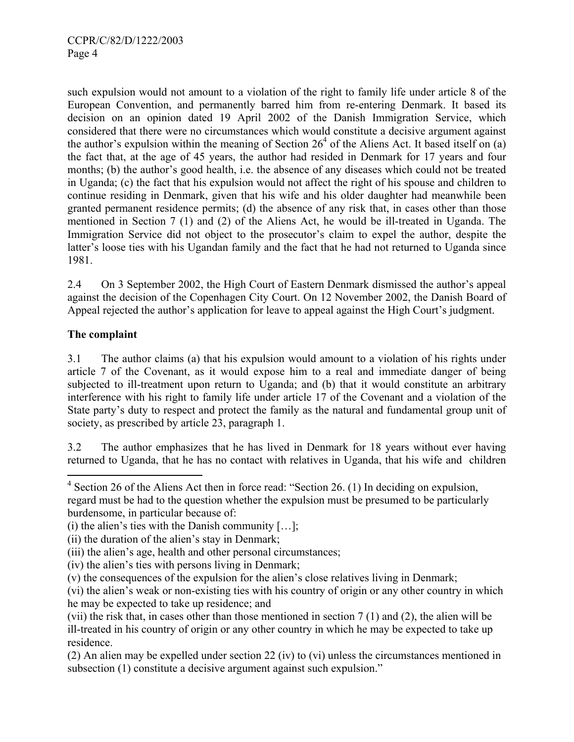such expulsion would not amount to a violation of the right to family life under article 8 of the European Convention, and permanently barred him from re-entering Denmark. It based its decision on an opinion dated 19 April 2002 of the Danish Immigration Service, which considered that there were no circumstances which would constitute a decisive argument against the author's expulsion within the meaning of Section  $26<sup>4</sup>$  of the Aliens Act. It based itself on (a) the fact that, at the age of 45 years, the author had resided in Denmark for 17 years and four months; (b) the author's good health, i.e. the absence of any diseases which could not be treated in Uganda; (c) the fact that his expulsion would not affect the right of his spouse and children to continue residing in Denmark, given that his wife and his older daughter had meanwhile been granted permanent residence permits; (d) the absence of any risk that, in cases other than those mentioned in Section 7 (1) and (2) of the Aliens Act, he would be ill-treated in Uganda. The Immigration Service did not object to the prosecutor's claim to expel the author, despite the latter's loose ties with his Ugandan family and the fact that he had not returned to Uganda since 1981.

2.4 On 3 September 2002, the High Court of Eastern Denmark dismissed the author's appeal against the decision of the Copenhagen City Court. On 12 November 2002, the Danish Board of Appeal rejected the author's application for leave to appeal against the High Court's judgment.

# **The complaint**

 $\overline{a}$ 

3.1 The author claims (a) that his expulsion would amount to a violation of his rights under article 7 of the Covenant, as it would expose him to a real and immediate danger of being subjected to ill-treatment upon return to Uganda; and (b) that it would constitute an arbitrary interference with his right to family life under article 17 of the Covenant and a violation of the State party's duty to respect and protect the family as the natural and fundamental group unit of society, as prescribed by article 23, paragraph 1.

3.2 The author emphasizes that he has lived in Denmark for 18 years without ever having returned to Uganda, that he has no contact with relatives in Uganda, that his wife and children

<sup>&</sup>lt;sup>4</sup> Section 26 of the Aliens Act then in force read: "Section 26. (1) In deciding on expulsion, regard must be had to the question whether the expulsion must be presumed to be particularly burdensome, in particular because of:

<sup>(</sup>i) the alien's ties with the Danish community  $[\dots]$ ;

<sup>(</sup>ii) the duration of the alien's stay in Denmark;

<sup>(</sup>iii) the alien's age, health and other personal circumstances;

<sup>(</sup>iv) the alien's ties with persons living in Denmark;

<sup>(</sup>v) the consequences of the expulsion for the alien's close relatives living in Denmark;

<sup>(</sup>vi) the alien's weak or non-existing ties with his country of origin or any other country in which he may be expected to take up residence; and

<sup>(</sup>vii) the risk that, in cases other than those mentioned in section 7 (1) and (2), the alien will be ill-treated in his country of origin or any other country in which he may be expected to take up residence.

<sup>(2)</sup> An alien may be expelled under section 22 (iv) to (vi) unless the circumstances mentioned in subsection (1) constitute a decisive argument against such expulsion."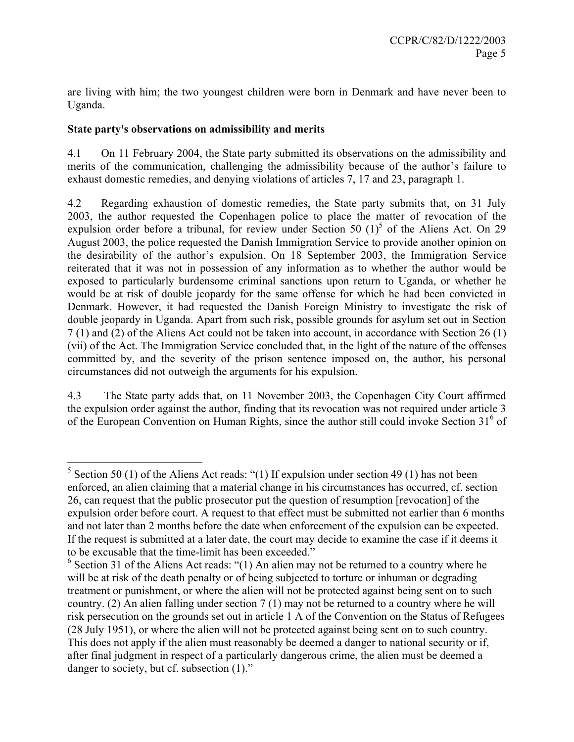are living with him; the two youngest children were born in Denmark and have never been to Uganda.

# **State party's observations on admissibility and merits**

<u>.</u>

4.1 On 11 February 2004, the State party submitted its observations on the admissibility and merits of the communication, challenging the admissibility because of the author's failure to exhaust domestic remedies, and denying violations of articles 7, 17 and 23, paragraph 1.

4.2 Regarding exhaustion of domestic remedies, the State party submits that, on 31 July 2003, the author requested the Copenhagen police to place the matter of revocation of the expulsion order before a tribunal, for review under Section 50  $(1)^5$  of the Aliens Act. On 29 August 2003, the police requested the Danish Immigration Service to provide another opinion on the desirability of the author's expulsion. On 18 September 2003, the Immigration Service reiterated that it was not in possession of any information as to whether the author would be exposed to particularly burdensome criminal sanctions upon return to Uganda, or whether he would be at risk of double jeopardy for the same offense for which he had been convicted in Denmark. However, it had requested the Danish Foreign Ministry to investigate the risk of double jeopardy in Uganda. Apart from such risk, possible grounds for asylum set out in Section 7 (1) and (2) of the Aliens Act could not be taken into account, in accordance with Section 26 (1) (vii) of the Act. The Immigration Service concluded that, in the light of the nature of the offenses committed by, and the severity of the prison sentence imposed on, the author, his personal circumstances did not outweigh the arguments for his expulsion.

4.3 The State party adds that, on 11 November 2003, the Copenhagen City Court affirmed the expulsion order against the author, finding that its revocation was not required under article 3 of the European Convention on Human Rights, since the author still could invoke Section 31<sup>6</sup> of

<sup>&</sup>lt;sup>5</sup> Section 50 (1) of the Aliens Act reads: "(1) If expulsion under section 49 (1) has not been enforced, an alien claiming that a material change in his circumstances has occurred, cf. section 26, can request that the public prosecutor put the question of resumption [revocation] of the expulsion order before court. A request to that effect must be submitted not earlier than 6 months and not later than 2 months before the date when enforcement of the expulsion can be expected. If the request is submitted at a later date, the court may decide to examine the case if it deems it to be excusable that the time-limit has been exceeded."

 $6$  Section 31 of the Aliens Act reads: "(1) An alien may not be returned to a country where he will be at risk of the death penalty or of being subjected to torture or inhuman or degrading treatment or punishment, or where the alien will not be protected against being sent on to such country. (2) An alien falling under section 7 (1) may not be returned to a country where he will risk persecution on the grounds set out in article 1 A of the Convention on the Status of Refugees (28 July 1951), or where the alien will not be protected against being sent on to such country. This does not apply if the alien must reasonably be deemed a danger to national security or if, after final judgment in respect of a particularly dangerous crime, the alien must be deemed a danger to society, but cf. subsection  $(1)$ ."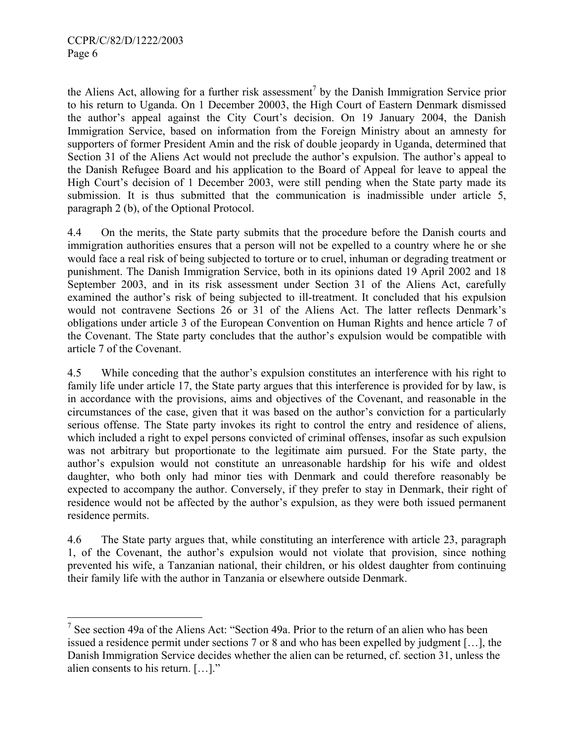the Aliens Act, allowing for a further risk assessment<sup>7</sup> by the Danish Immigration Service prior to his return to Uganda. On 1 December 20003, the High Court of Eastern Denmark dismissed the author's appeal against the City Court's decision. On 19 January 2004, the Danish Immigration Service, based on information from the Foreign Ministry about an amnesty for supporters of former President Amin and the risk of double jeopardy in Uganda, determined that Section 31 of the Aliens Act would not preclude the author's expulsion. The author's appeal to the Danish Refugee Board and his application to the Board of Appeal for leave to appeal the High Court's decision of 1 December 2003, were still pending when the State party made its submission. It is thus submitted that the communication is inadmissible under article 5, paragraph 2 (b), of the Optional Protocol.

4.4 On the merits, the State party submits that the procedure before the Danish courts and immigration authorities ensures that a person will not be expelled to a country where he or she would face a real risk of being subjected to torture or to cruel, inhuman or degrading treatment or punishment. The Danish Immigration Service, both in its opinions dated 19 April 2002 and 18 September 2003, and in its risk assessment under Section 31 of the Aliens Act, carefully examined the author's risk of being subjected to ill-treatment. It concluded that his expulsion would not contravene Sections 26 or 31 of the Aliens Act. The latter reflects Denmark's obligations under article 3 of the European Convention on Human Rights and hence article 7 of the Covenant. The State party concludes that the author's expulsion would be compatible with article 7 of the Covenant.

4.5 While conceding that the author's expulsion constitutes an interference with his right to family life under article 17, the State party argues that this interference is provided for by law, is in accordance with the provisions, aims and objectives of the Covenant, and reasonable in the circumstances of the case, given that it was based on the author's conviction for a particularly serious offense. The State party invokes its right to control the entry and residence of aliens, which included a right to expel persons convicted of criminal offenses, insofar as such expulsion was not arbitrary but proportionate to the legitimate aim pursued. For the State party, the author's expulsion would not constitute an unreasonable hardship for his wife and oldest daughter, who both only had minor ties with Denmark and could therefore reasonably be expected to accompany the author. Conversely, if they prefer to stay in Denmark, their right of residence would not be affected by the author's expulsion, as they were both issued permanent residence permits.

4.6 The State party argues that, while constituting an interference with article 23, paragraph 1, of the Covenant, the author's expulsion would not violate that provision, since nothing prevented his wife, a Tanzanian national, their children, or his oldest daughter from continuing their family life with the author in Tanzania or elsewhere outside Denmark.

<sup>&</sup>lt;sup>7</sup> See section 49a of the Aliens Act: "Section 49a. Prior to the return of an alien who has been issued a residence permit under sections 7 or 8 and who has been expelled by judgment […], the Danish Immigration Service decides whether the alien can be returned, cf. section 31, unless the alien consents to his return. […]."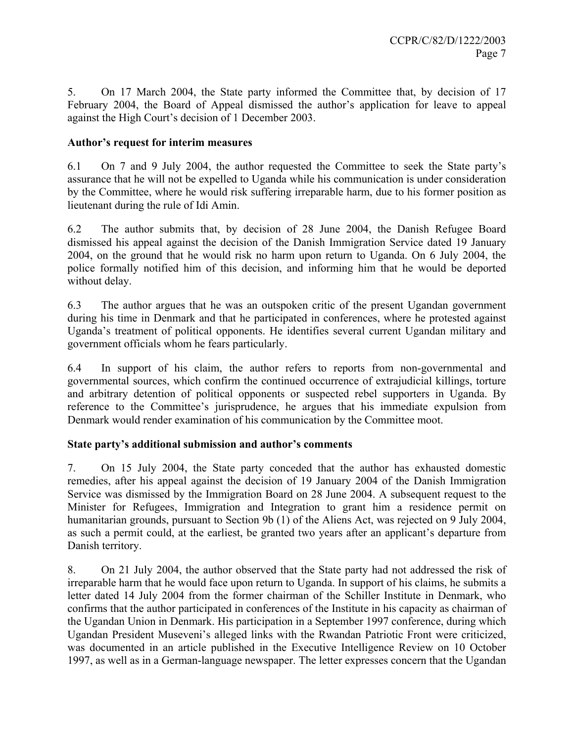5. On 17 March 2004, the State party informed the Committee that, by decision of 17 February 2004, the Board of Appeal dismissed the author's application for leave to appeal against the High Court's decision of 1 December 2003.

#### **Author's request for interim measures**

6.1 On 7 and 9 July 2004, the author requested the Committee to seek the State party's assurance that he will not be expelled to Uganda while his communication is under consideration by the Committee, where he would risk suffering irreparable harm, due to his former position as lieutenant during the rule of Idi Amin.

6.2 The author submits that, by decision of 28 June 2004, the Danish Refugee Board dismissed his appeal against the decision of the Danish Immigration Service dated 19 January 2004, on the ground that he would risk no harm upon return to Uganda. On 6 July 2004, the police formally notified him of this decision, and informing him that he would be deported without delay.

6.3 The author argues that he was an outspoken critic of the present Ugandan government during his time in Denmark and that he participated in conferences, where he protested against Uganda's treatment of political opponents. He identifies several current Ugandan military and government officials whom he fears particularly.

6.4 In support of his claim, the author refers to reports from non-governmental and governmental sources, which confirm the continued occurrence of extrajudicial killings, torture and arbitrary detention of political opponents or suspected rebel supporters in Uganda. By reference to the Committee's jurisprudence, he argues that his immediate expulsion from Denmark would render examination of his communication by the Committee moot.

#### **State party's additional submission and author's comments**

7. On 15 July 2004, the State party conceded that the author has exhausted domestic remedies, after his appeal against the decision of 19 January 2004 of the Danish Immigration Service was dismissed by the Immigration Board on 28 June 2004. A subsequent request to the Minister for Refugees, Immigration and Integration to grant him a residence permit on humanitarian grounds, pursuant to Section 9b (1) of the Aliens Act, was rejected on 9 July 2004, as such a permit could, at the earliest, be granted two years after an applicant's departure from Danish territory.

8. On 21 July 2004, the author observed that the State party had not addressed the risk of irreparable harm that he would face upon return to Uganda. In support of his claims, he submits a letter dated 14 July 2004 from the former chairman of the Schiller Institute in Denmark, who confirms that the author participated in conferences of the Institute in his capacity as chairman of the Ugandan Union in Denmark. His participation in a September 1997 conference, during which Ugandan President Museveni's alleged links with the Rwandan Patriotic Front were criticized, was documented in an article published in the Executive Intelligence Review on 10 October 1997, as well as in a German-language newspaper. The letter expresses concern that the Ugandan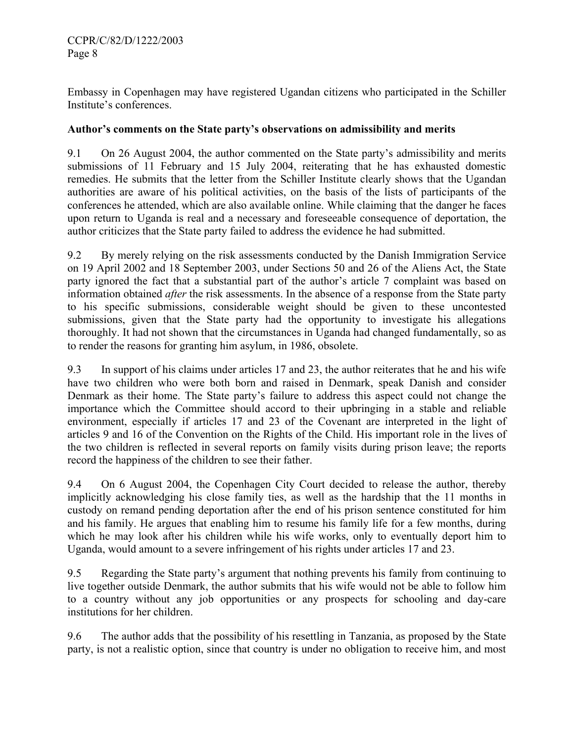Embassy in Copenhagen may have registered Ugandan citizens who participated in the Schiller Institute's conferences.

# **Author's comments on the State party's observations on admissibility and merits**

9.1 On 26 August 2004, the author commented on the State party's admissibility and merits submissions of 11 February and 15 July 2004, reiterating that he has exhausted domestic remedies. He submits that the letter from the Schiller Institute clearly shows that the Ugandan authorities are aware of his political activities, on the basis of the lists of participants of the conferences he attended, which are also available online. While claiming that the danger he faces upon return to Uganda is real and a necessary and foreseeable consequence of deportation, the author criticizes that the State party failed to address the evidence he had submitted.

9.2 By merely relying on the risk assessments conducted by the Danish Immigration Service on 19 April 2002 and 18 September 2003, under Sections 50 and 26 of the Aliens Act, the State party ignored the fact that a substantial part of the author's article 7 complaint was based on information obtained *after* the risk assessments. In the absence of a response from the State party to his specific submissions, considerable weight should be given to these uncontested submissions, given that the State party had the opportunity to investigate his allegations thoroughly. It had not shown that the circumstances in Uganda had changed fundamentally, so as to render the reasons for granting him asylum, in 1986, obsolete.

9.3 In support of his claims under articles 17 and 23, the author reiterates that he and his wife have two children who were both born and raised in Denmark, speak Danish and consider Denmark as their home. The State party's failure to address this aspect could not change the importance which the Committee should accord to their upbringing in a stable and reliable environment, especially if articles 17 and 23 of the Covenant are interpreted in the light of articles 9 and 16 of the Convention on the Rights of the Child. His important role in the lives of the two children is reflected in several reports on family visits during prison leave; the reports record the happiness of the children to see their father.

9.4 On 6 August 2004, the Copenhagen City Court decided to release the author, thereby implicitly acknowledging his close family ties, as well as the hardship that the 11 months in custody on remand pending deportation after the end of his prison sentence constituted for him and his family. He argues that enabling him to resume his family life for a few months, during which he may look after his children while his wife works, only to eventually deport him to Uganda, would amount to a severe infringement of his rights under articles 17 and 23.

9.5 Regarding the State party's argument that nothing prevents his family from continuing to live together outside Denmark, the author submits that his wife would not be able to follow him to a country without any job opportunities or any prospects for schooling and day-care institutions for her children.

9.6 The author adds that the possibility of his resettling in Tanzania, as proposed by the State party, is not a realistic option, since that country is under no obligation to receive him, and most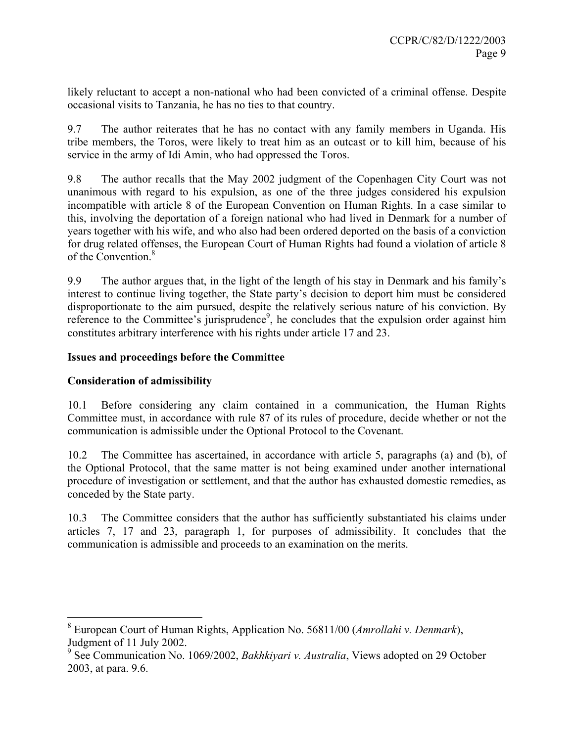likely reluctant to accept a non-national who had been convicted of a criminal offense. Despite occasional visits to Tanzania, he has no ties to that country.

9.7 The author reiterates that he has no contact with any family members in Uganda. His tribe members, the Toros, were likely to treat him as an outcast or to kill him, because of his service in the army of Idi Amin, who had oppressed the Toros.

9.8 The author recalls that the May 2002 judgment of the Copenhagen City Court was not unanimous with regard to his expulsion, as one of the three judges considered his expulsion incompatible with article 8 of the European Convention on Human Rights. In a case similar to this, involving the deportation of a foreign national who had lived in Denmark for a number of years together with his wife, and who also had been ordered deported on the basis of a conviction for drug related offenses, the European Court of Human Rights had found a violation of article 8 of the Convention.<sup>8</sup>

9.9 The author argues that, in the light of the length of his stay in Denmark and his family's interest to continue living together, the State party's decision to deport him must be considered disproportionate to the aim pursued, despite the relatively serious nature of his conviction. By reference to the Committee's jurisprudence<sup>9</sup>, he concludes that the expulsion order against him constitutes arbitrary interference with his rights under article 17 and 23.

# **Issues and proceedings before the Committee**

# **Consideration of admissibility**

 $\overline{a}$ 

10.1 Before considering any claim contained in a communication, the Human Rights Committee must, in accordance with rule 87 of its rules of procedure, decide whether or not the communication is admissible under the Optional Protocol to the Covenant.

10.2 The Committee has ascertained, in accordance with article 5, paragraphs (a) and (b), of the Optional Protocol, that the same matter is not being examined under another international procedure of investigation or settlement, and that the author has exhausted domestic remedies, as conceded by the State party.

10.3 The Committee considers that the author has sufficiently substantiated his claims under articles 7, 17 and 23, paragraph 1, for purposes of admissibility. It concludes that the communication is admissible and proceeds to an examination on the merits.

<sup>8</sup> European Court of Human Rights, Application No. 56811/00 (*Amrollahi v. Denmark*), Judgment of 11 July 2002.

<sup>9</sup> See Communication No. 1069/2002, *Bakhkiyari v. Australia*, Views adopted on 29 October 2003, at para. 9.6.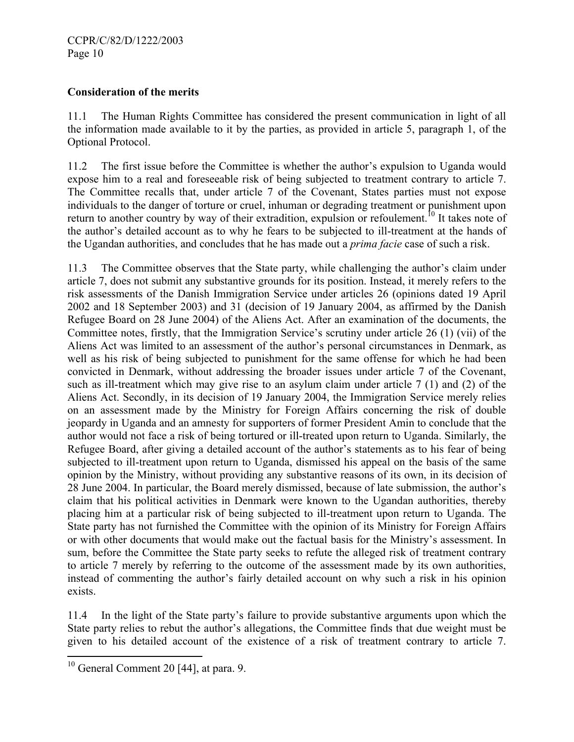#### **Consideration of the merits**

11.1 The Human Rights Committee has considered the present communication in light of all the information made available to it by the parties, as provided in article 5, paragraph 1, of the Optional Protocol.

11.2 The first issue before the Committee is whether the author's expulsion to Uganda would expose him to a real and foreseeable risk of being subjected to treatment contrary to article 7. The Committee recalls that, under article 7 of the Covenant, States parties must not expose individuals to the danger of torture or cruel, inhuman or degrading treatment or punishment upon return to another country by way of their extradition, expulsion or refoulement.<sup>10</sup> It takes note of the author's detailed account as to why he fears to be subjected to ill-treatment at the hands of the Ugandan authorities, and concludes that he has made out a *prima facie* case of such a risk.

11.3 The Committee observes that the State party, while challenging the author's claim under article 7, does not submit any substantive grounds for its position. Instead, it merely refers to the risk assessments of the Danish Immigration Service under articles 26 (opinions dated 19 April 2002 and 18 September 2003) and 31 (decision of 19 January 2004, as affirmed by the Danish Refugee Board on 28 June 2004) of the Aliens Act. After an examination of the documents, the Committee notes, firstly, that the Immigration Service's scrutiny under article 26 (1) (vii) of the Aliens Act was limited to an assessment of the author's personal circumstances in Denmark, as well as his risk of being subjected to punishment for the same offense for which he had been convicted in Denmark, without addressing the broader issues under article 7 of the Covenant, such as ill-treatment which may give rise to an asylum claim under article  $7(1)$  and (2) of the Aliens Act. Secondly, in its decision of 19 January 2004, the Immigration Service merely relies on an assessment made by the Ministry for Foreign Affairs concerning the risk of double jeopardy in Uganda and an amnesty for supporters of former President Amin to conclude that the author would not face a risk of being tortured or ill-treated upon return to Uganda. Similarly, the Refugee Board, after giving a detailed account of the author's statements as to his fear of being subjected to ill-treatment upon return to Uganda, dismissed his appeal on the basis of the same opinion by the Ministry, without providing any substantive reasons of its own, in its decision of 28 June 2004. In particular, the Board merely dismissed, because of late submission, the author's claim that his political activities in Denmark were known to the Ugandan authorities, thereby placing him at a particular risk of being subjected to ill-treatment upon return to Uganda. The State party has not furnished the Committee with the opinion of its Ministry for Foreign Affairs or with other documents that would make out the factual basis for the Ministry's assessment. In sum, before the Committee the State party seeks to refute the alleged risk of treatment contrary to article 7 merely by referring to the outcome of the assessment made by its own authorities, instead of commenting the author's fairly detailed account on why such a risk in his opinion exists.

11.4 In the light of the State party's failure to provide substantive arguments upon which the State party relies to rebut the author's allegations, the Committee finds that due weight must be given to his detailed account of the existence of a risk of treatment contrary to article 7.

 $\overline{a}$ 

 $10$  General Comment 20 [44], at para. 9.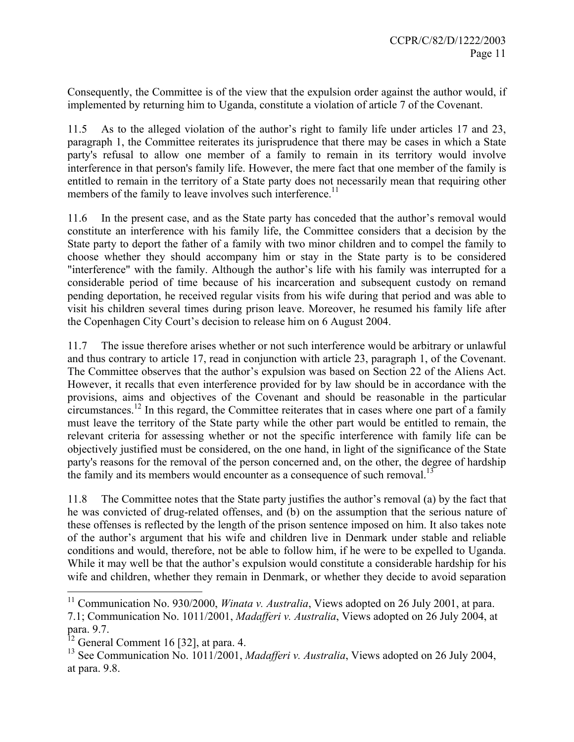Consequently, the Committee is of the view that the expulsion order against the author would, if implemented by returning him to Uganda, constitute a violation of article 7 of the Covenant.

11.5 As to the alleged violation of the author's right to family life under articles 17 and 23, paragraph 1, the Committee reiterates its jurisprudence that there may be cases in which a State party's refusal to allow one member of a family to remain in its territory would involve interference in that person's family life. However, the mere fact that one member of the family is entitled to remain in the territory of a State party does not necessarily mean that requiring other members of the family to leave involves such interference.<sup>11</sup>

11.6 In the present case, and as the State party has conceded that the author's removal would constitute an interference with his family life, the Committee considers that a decision by the State party to deport the father of a family with two minor children and to compel the family to choose whether they should accompany him or stay in the State party is to be considered "interference" with the family. Although the author's life with his family was interrupted for a considerable period of time because of his incarceration and subsequent custody on remand pending deportation, he received regular visits from his wife during that period and was able to visit his children several times during prison leave. Moreover, he resumed his family life after the Copenhagen City Court's decision to release him on 6 August 2004.

11.7 The issue therefore arises whether or not such interference would be arbitrary or unlawful and thus contrary to article 17, read in conjunction with article 23, paragraph 1, of the Covenant. The Committee observes that the author's expulsion was based on Section 22 of the Aliens Act. However, it recalls that even interference provided for by law should be in accordance with the provisions, aims and objectives of the Covenant and should be reasonable in the particular circumstances.<sup>12</sup> In this regard, the Committee reiterates that in cases where one part of a family must leave the territory of the State party while the other part would be entitled to remain, the relevant criteria for assessing whether or not the specific interference with family life can be objectively justified must be considered, on the one hand, in light of the significance of the State party's reasons for the removal of the person concerned and, on the other, the degree of hardship the family and its members would encounter as a consequence of such removal.<sup>13</sup>

11.8 The Committee notes that the State party justifies the author's removal (a) by the fact that he was convicted of drug-related offenses, and (b) on the assumption that the serious nature of these offenses is reflected by the length of the prison sentence imposed on him. It also takes note of the author's argument that his wife and children live in Denmark under stable and reliable conditions and would, therefore, not be able to follow him, if he were to be expelled to Uganda. While it may well be that the author's expulsion would constitute a considerable hardship for his wife and children, whether they remain in Denmark, or whether they decide to avoid separation

<u>.</u>

<sup>&</sup>lt;sup>11</sup> Communication No. 930/2000, *Winata v. Australia*, Views adopted on 26 July 2001, at para. 7.1; Communication No. 1011/2001, *Madafferi v. Australia*, Views adopted on 26 July 2004, at para. 9.7.

 $12$  General Comment 16 [32], at para. 4.

<sup>&</sup>lt;sup>13</sup> See Communication No. 1011/2001, *Madafferi v. Australia*, Views adopted on 26 July 2004, at para. 9.8.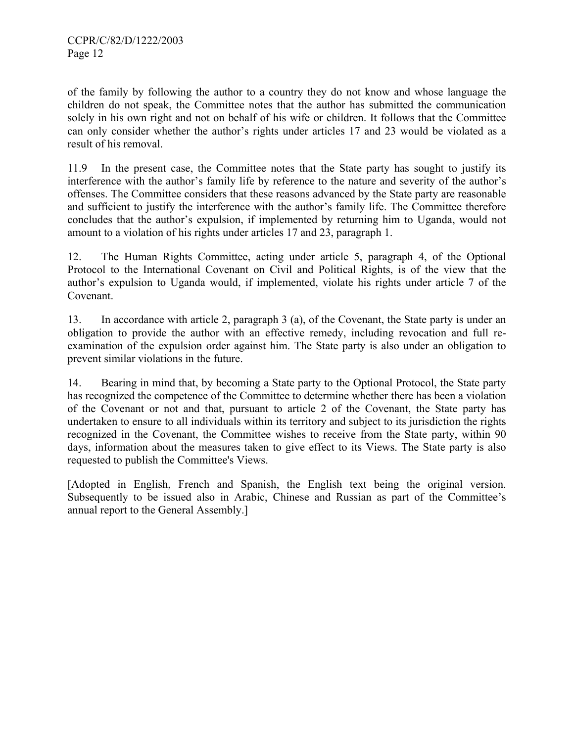of the family by following the author to a country they do not know and whose language the children do not speak, the Committee notes that the author has submitted the communication solely in his own right and not on behalf of his wife or children. It follows that the Committee can only consider whether the author's rights under articles 17 and 23 would be violated as a result of his removal.

11.9 In the present case, the Committee notes that the State party has sought to justify its interference with the author's family life by reference to the nature and severity of the author's offenses. The Committee considers that these reasons advanced by the State party are reasonable and sufficient to justify the interference with the author's family life. The Committee therefore concludes that the author's expulsion, if implemented by returning him to Uganda, would not amount to a violation of his rights under articles 17 and 23, paragraph 1.

12. The Human Rights Committee, acting under article 5, paragraph 4, of the Optional Protocol to the International Covenant on Civil and Political Rights, is of the view that the author's expulsion to Uganda would, if implemented, violate his rights under article 7 of the Covenant.

13. In accordance with article 2, paragraph 3 (a), of the Covenant, the State party is under an obligation to provide the author with an effective remedy, including revocation and full reexamination of the expulsion order against him. The State party is also under an obligation to prevent similar violations in the future.

14. Bearing in mind that, by becoming a State party to the Optional Protocol, the State party has recognized the competence of the Committee to determine whether there has been a violation of the Covenant or not and that, pursuant to article 2 of the Covenant, the State party has undertaken to ensure to all individuals within its territory and subject to its jurisdiction the rights recognized in the Covenant, the Committee wishes to receive from the State party, within 90 days, information about the measures taken to give effect to its Views. The State party is also requested to publish the Committee's Views.

[Adopted in English, French and Spanish, the English text being the original version. Subsequently to be issued also in Arabic, Chinese and Russian as part of the Committee's annual report to the General Assembly.]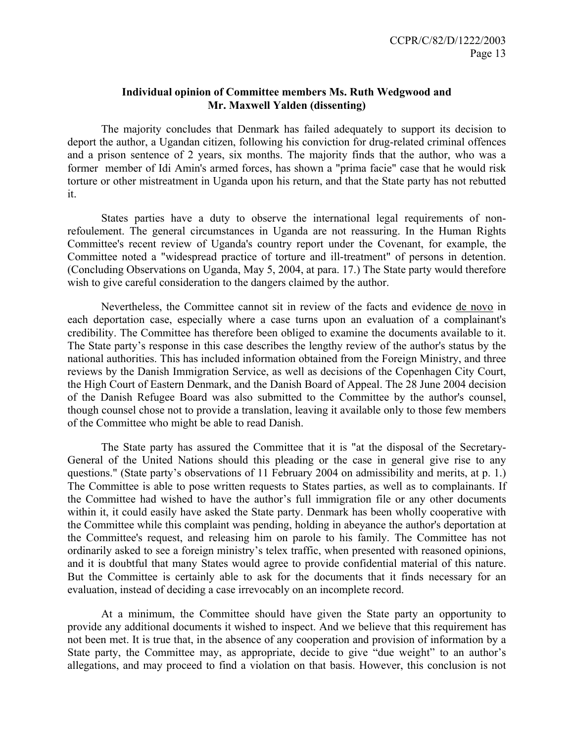#### **Individual opinion of Committee members Ms. Ruth Wedgwood and Mr. Maxwell Yalden (dissenting)**

 The majority concludes that Denmark has failed adequately to support its decision to deport the author, a Ugandan citizen, following his conviction for drug-related criminal offences and a prison sentence of 2 years, six months. The majority finds that the author, who was a former member of Idi Amin's armed forces, has shown a "prima facie" case that he would risk torture or other mistreatment in Uganda upon his return, and that the State party has not rebutted it.

 States parties have a duty to observe the international legal requirements of nonrefoulement. The general circumstances in Uganda are not reassuring. In the Human Rights Committee's recent review of Uganda's country report under the Covenant, for example, the Committee noted a "widespread practice of torture and ill-treatment" of persons in detention. (Concluding Observations on Uganda, May 5, 2004, at para. 17.) The State party would therefore wish to give careful consideration to the dangers claimed by the author.

Nevertheless, the Committee cannot sit in review of the facts and evidence de novo in each deportation case, especially where a case turns upon an evaluation of a complainant's credibility. The Committee has therefore been obliged to examine the documents available to it. The State party's response in this case describes the lengthy review of the author's status by the national authorities. This has included information obtained from the Foreign Ministry, and three reviews by the Danish Immigration Service, as well as decisions of the Copenhagen City Court, the High Court of Eastern Denmark, and the Danish Board of Appeal. The 28 June 2004 decision of the Danish Refugee Board was also submitted to the Committee by the author's counsel, though counsel chose not to provide a translation, leaving it available only to those few members of the Committee who might be able to read Danish.

The State party has assured the Committee that it is "at the disposal of the Secretary-General of the United Nations should this pleading or the case in general give rise to any questions." (State party's observations of 11 February 2004 on admissibility and merits, at p. 1.) The Committee is able to pose written requests to States parties, as well as to complainants. If the Committee had wished to have the author's full immigration file or any other documents within it, it could easily have asked the State party. Denmark has been wholly cooperative with the Committee while this complaint was pending, holding in abeyance the author's deportation at the Committee's request, and releasing him on parole to his family. The Committee has not ordinarily asked to see a foreign ministry's telex traffic, when presented with reasoned opinions, and it is doubtful that many States would agree to provide confidential material of this nature. But the Committee is certainly able to ask for the documents that it finds necessary for an evaluation, instead of deciding a case irrevocably on an incomplete record.

At a minimum, the Committee should have given the State party an opportunity to provide any additional documents it wished to inspect. And we believe that this requirement has not been met. It is true that, in the absence of any cooperation and provision of information by a State party, the Committee may, as appropriate, decide to give "due weight" to an author's allegations, and may proceed to find a violation on that basis. However, this conclusion is not